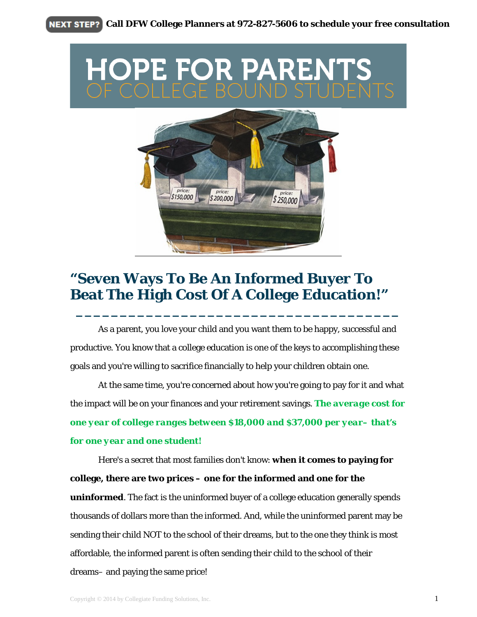# OPE FOR PARE



# **"Seven Ways To Be An Informed Buyer To Beat The High Cost Of A College Education!"**

As a parent, you love your child and you want them to be happy, successful and productive. You know that a college education is one of the keys to accomplishing these goals and you're willing to sacrifice financially to help your children obtain one.

**\_\_\_\_\_\_\_\_\_\_\_\_\_\_\_\_\_\_\_\_\_\_\_\_\_\_\_\_\_\_\_\_\_\_\_\_\_**

At the same time, you're concerned about how you're going to pay for it and what the impact will be on your finances and your retirement savings. *The average cost for one year of college ranges between \$18,000 and \$37,000 per year– that's for one year and one student!*

Here's a secret that most families don't know: **when it comes to paying for college, there are two prices – one for the informed and one for the uninformed**. The fact is the uninformed buyer of a college education generally spends thousands of dollars more than the informed. And, while the uninformed parent may be sending their child NOT to the school of their dreams, but to the one they think is most affordable, the informed parent is often sending their child to the school of their dreams– and paying the same price!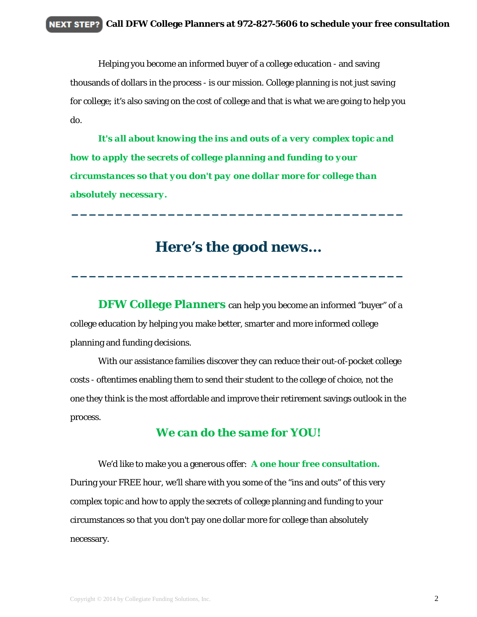Helping you become an informed buyer of a college education - and saving thousands of dollars in the process - is our mission. College planning is not just saving for college; it's also saving on the cost of college and that is what we are going to help you do.

*It's all about knowing the ins and outs of a very complex topic and how to apply the secrets of college planning and funding to your circumstances so that you don't pay one dollar more for college than absolutely necessary.*

## **Here's the good news…**

**\_\_\_\_\_\_\_\_\_\_\_\_\_\_\_\_\_\_\_\_\_\_\_\_\_\_\_\_\_\_\_\_\_\_\_\_\_\_**

**\_\_\_\_\_\_\_\_\_\_\_\_\_\_\_\_\_\_\_\_\_\_\_\_\_\_\_\_\_\_\_\_\_\_\_\_\_\_**

*DFW College Planners* can help you become an informed "buyer" of a college education by helping you make better, smarter and more informed college planning and funding decisions.

With our assistance families discover they can reduce their out-of-pocket college costs - oftentimes enabling them to send their student to the college of choice, not the one they think is the most affordable and improve their retirement savings outlook in the process.

## *We can do the same for YOU!*

We'd like to make you a generous offer: **A one hour free consultation.**  During your *FREE hour*, we'll share with you some of the "ins and outs" of this very complex topic and how to apply the secrets of college planning and funding to your circumstances so that you don't pay one dollar more for college than absolutely necessary.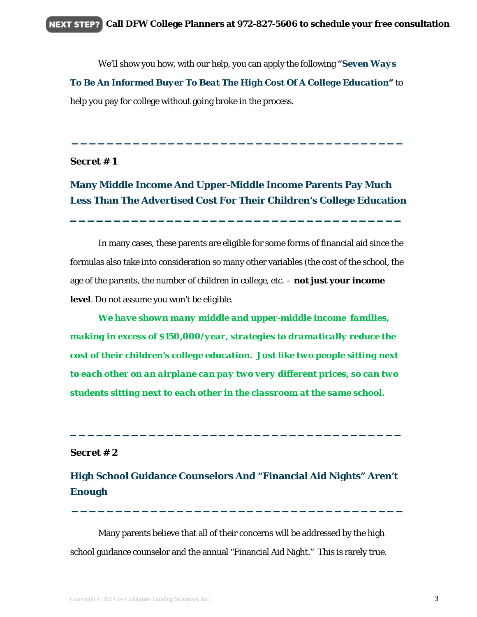We'll show you how, with our help, you can apply the following *"Seven Ways To Be An Informed Buyer To Beat The High Cost Of A College Education"* to help you pay for college without going broke in the process.

#### *Secret # 1*

## **Many Middle Income And Upper-Middle Income Parents Pay Much Less Than The Advertised Cost For Their Children's College Education**

**\_\_\_\_\_\_\_\_\_\_\_\_\_\_\_\_\_\_\_\_\_\_\_\_\_\_\_\_\_\_\_\_\_\_\_\_\_\_**

**\_\_\_\_\_\_\_\_\_\_\_\_\_\_\_\_\_\_\_\_\_\_\_\_\_\_\_\_\_\_\_\_\_\_\_\_\_\_**

In many cases, these parents are eligible for some forms of financial aid since the formulas also take into consideration so many other variables (the cost of the school, the age of the parents, the number of children in college, etc. – **not just your income level**. Do not assume you won't be eligible.

*We have shown many middle and upper-middle income families, making in excess of \$150,000/year, strategies to dramatically reduce the cost of their children's college education. Just like two people sitting next to each other on an airplane can pay two very different prices, so can two students sitting next to each other in the classroom at the same school.*

#### *Secret # 2*

## **High School Guidance Counselors And "Financial Aid Nights" Aren't Enough**

**\_\_\_\_\_\_\_\_\_\_\_\_\_\_\_\_\_\_\_\_\_\_\_\_\_\_\_\_\_\_\_\_\_\_\_\_\_\_**

**\_\_\_\_\_\_\_\_\_\_\_\_\_\_\_\_\_\_\_\_\_\_\_\_\_\_\_\_\_\_\_\_\_\_\_\_\_\_**

Many parents believe that all of their concerns will be addressed by the high school guidance counselor and the annual "Financial Aid Night." This is rarely true.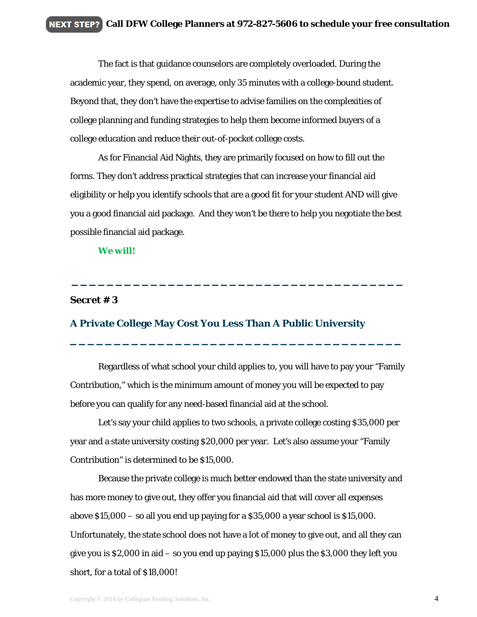The fact is that guidance counselors are completely overloaded. During the academic year, they spend, on average, only 35 minutes with a college-bound student. Beyond that, they don't have the expertise to advise families on the complexities of college planning and funding strategies to help them become informed buyers of a college education and reduce their out-of-pocket college costs.

As for Financial Aid Nights, they are primarily focused on how to fill out the forms. They don't address practical strategies that can increase your financial aid eligibility or help you identify schools that are a good fit for your student AND will give you a good financial aid package. And they won't be there to help you negotiate the best possible financial aid package.

**\_\_\_\_\_\_\_\_\_\_\_\_\_\_\_\_\_\_\_\_\_\_\_\_\_\_\_\_\_\_\_\_\_\_\_\_\_\_**

*We will!*

#### *Secret # 3*

#### **A Private College May Cost You Less Than A Public University**

Regardless of what school your child applies to, you will have to pay your "Family Contribution," which is the minimum amount of money you will be expected to pay before you can qualify for any need-based financial aid at the school.

**\_\_\_\_\_\_\_\_\_\_\_\_\_\_\_\_\_\_\_\_\_\_\_\_\_\_\_\_\_\_\_\_\_\_\_\_\_\_**

Let's say your child applies to two schools, a private college costing \$35,000 per year and a state university costing \$20,000 per year. Let's also assume your "Family Contribution" is determined to be \$15,000.

Because the private college is much better endowed than the state university and has more money to give out, they offer you financial aid that will cover all expenses above  $$15,000 - so$  all you end up paying for a  $$35,000$  a year school is  $$15,000$ . Unfortunately, the state school does not have a lot of money to give out, and all they can give you is \$2,000 in aid – so you end up paying \$15,000 plus the \$3,000 they left you short, for a total of \$18,000!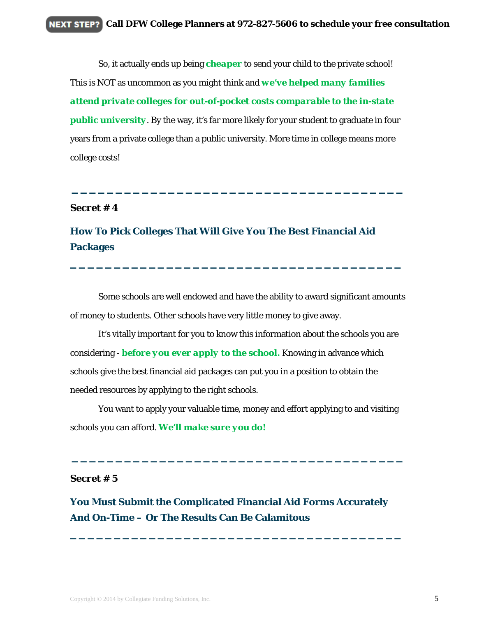So, it actually ends up being *cheaper* to send your child to the private school! This is NOT as uncommon as you might think and *we've helped many families attend private colleges for out-of-pocket costs comparable to the in-state public university*. By the way, it's far more likely for your student to graduate in four years from a private college than a public university. More time in college means more college costs!

**\_\_\_\_\_\_\_\_\_\_\_\_\_\_\_\_\_\_\_\_\_\_\_\_\_\_\_\_\_\_\_\_\_\_\_\_\_\_**

#### *Secret # 4*

## **How To Pick Colleges That Will Give You The Best Financial Aid Packages**

Some schools are well endowed and have the ability to award significant amounts of money to students. Other schools have very little money to give away.

**\_\_\_\_\_\_\_\_\_\_\_\_\_\_\_\_\_\_\_\_\_\_\_\_\_\_\_\_\_\_\_\_\_\_\_\_\_\_**

It's vitally important for you to know this information about the schools you are considering - *before you ever apply to the school.* Knowing in advance which schools give the best financial aid packages can put you in a position to obtain the needed resources by applying to the right schools.

You want to apply your valuable time, money and effort applying to and visiting schools you can afford. *We'll make sure you do!*

**\_\_\_\_\_\_\_\_\_\_\_\_\_\_\_\_\_\_\_\_\_\_\_\_\_\_\_\_\_\_\_\_\_\_\_\_\_\_**

#### *Secret # 5*

## **You Must Submit the Complicated Financial Aid Forms Accurately And On-Time – Or The Results Can Be Calamitous**

**\_\_\_\_\_\_\_\_\_\_\_\_\_\_\_\_\_\_\_\_\_\_\_\_\_\_\_\_\_\_\_\_\_\_\_\_\_\_**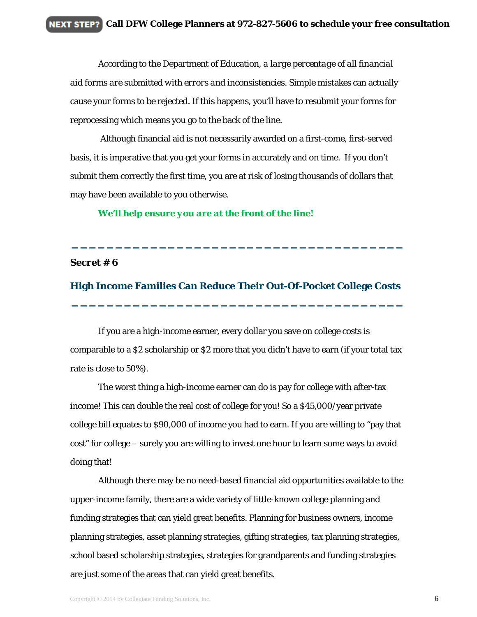According to the Department of Education, *a large percentage of all financial aid forms are submitted with errors and inconsistencies.* Simple mistakes can actually cause your forms to be rejected. If this happens, you'll have to resubmit your forms for reprocessing which means you go to the back of the line.

Although financial aid is not necessarily awarded on a first-come, first-served basis, it is imperative that you get your forms in accurately and on time. If you don't submit them correctly the first time, you are at risk of losing thousands of dollars that may have been available to you otherwise.

*We'll help ensure you are at the front of the line!*

#### *Secret # 6*

#### **High Income Families Can Reduce Their Out-Of-Pocket College Costs**

**\_\_\_\_\_\_\_\_\_\_\_\_\_\_\_\_\_\_\_\_\_\_\_\_\_\_\_\_\_\_\_\_\_\_\_\_\_\_**

**\_\_\_\_\_\_\_\_\_\_\_\_\_\_\_\_\_\_\_\_\_\_\_\_\_\_\_\_\_\_\_\_\_\_\_\_\_\_**

If you are a high-income earner, every dollar you save on college costs is comparable to a \$2 scholarship or \$2 more that you didn't have to earn (if your total tax rate is close to 50%).

The worst thing a high-income earner can do is pay for college with after-tax income! This can double the real cost of college for you! So a \$45,000/year private college bill equates to \$90,000 of income you had to earn. If you are willing to "pay that cost" for college – surely you are willing to invest one hour to learn some ways to avoid doing that!

Although there may be no need-based financial aid opportunities available to the upper-income family, there are a wide variety of little-known college planning and funding strategies that can yield great benefits. Planning for business owners, income planning strategies, asset planning strategies, gifting strategies, tax planning strategies, school based scholarship strategies, strategies for grandparents and funding strategies are just some of the areas that can yield great benefits.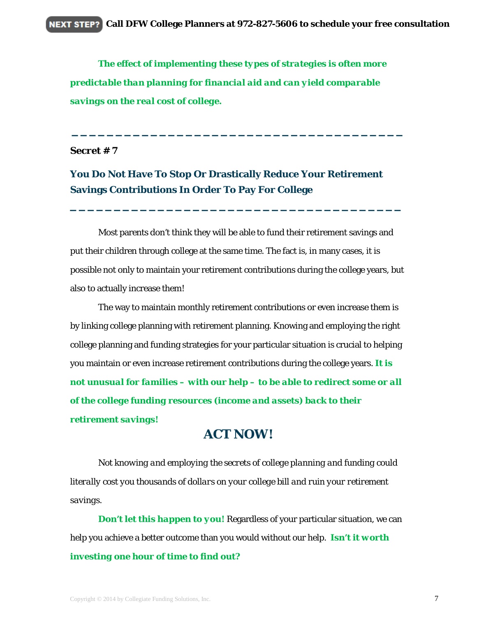*The effect of implementing these types of strategies is often more predictable than planning for financial aid and can yield comparable savings on the real cost of college.*

**\_\_\_\_\_\_\_\_\_\_\_\_\_\_\_\_\_\_\_\_\_\_\_\_\_\_\_\_\_\_\_\_\_\_\_\_\_\_**

#### *Secret # 7*

## **You Do Not Have To Stop Or Drastically Reduce Your Retirement Savings Contributions In Order To Pay For College**

Most parents don't think they will be able to fund their retirement savings and put their children through college at the same time. The fact is, in many cases, it is possible not only to maintain your retirement contributions during the college years, but also to actually increase them!

**\_\_\_\_\_\_\_\_\_\_\_\_\_\_\_\_\_\_\_\_\_\_\_\_\_\_\_\_\_\_\_\_\_\_\_\_\_\_**

The way to maintain monthly retirement contributions or even increase them is by linking college planning with retirement planning. Knowing and employing the right college planning and funding strategies for your particular situation is crucial to helping you maintain or even increase retirement contributions during the college years. *It is not unusual for families – with our help – to be able to redirect some or all of the college funding resources (income and assets) back to their retirement savings!*

## **ACT NOW!**

*Not knowing and employing the secrets of college planning and funding could literally cost you thousands of dollars on your college bill and ruin your retirement savings.*

*Don't let this happen to you!* Regardless of your particular situation, we can help you achieve a better outcome than you would without our help. *Isn't it worth investing one hour of time to find out?*